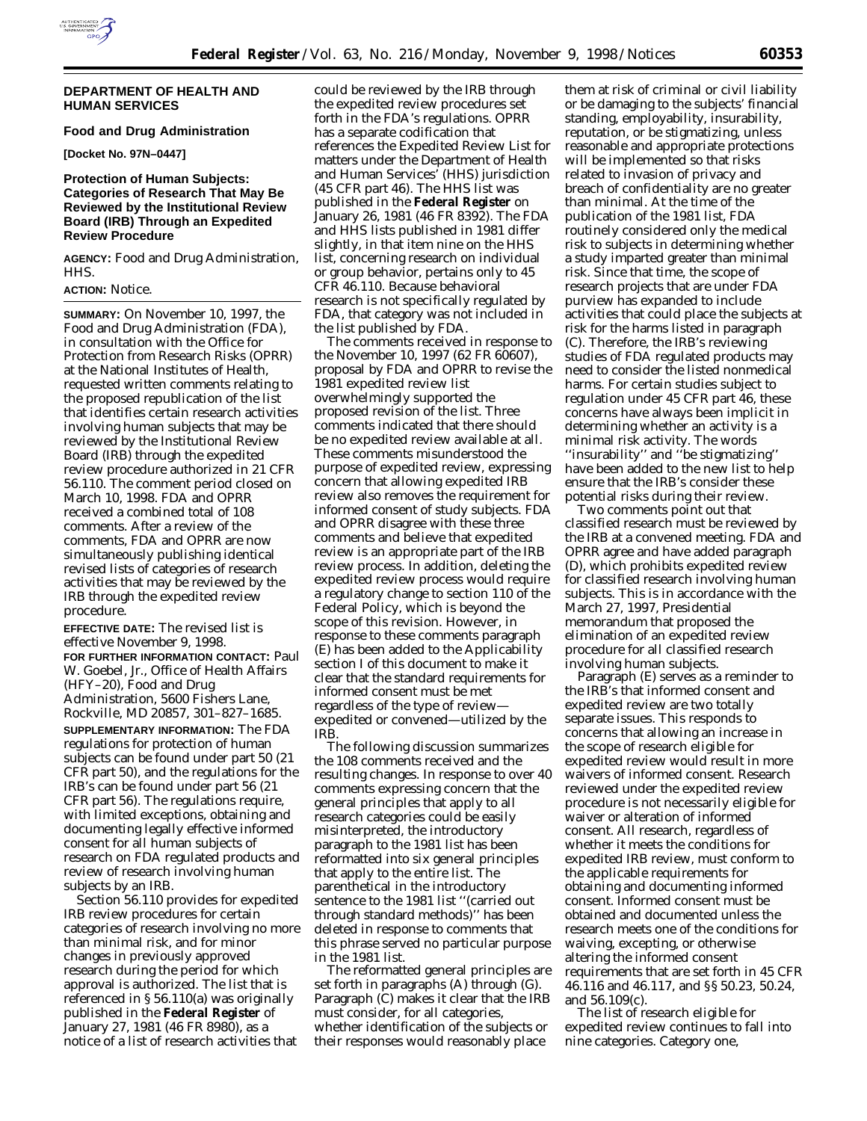

## **DEPARTMENT OF HEALTH AND HUMAN SERVICES**

## **Food and Drug Administration**

**[Docket No. 97N–0447]**

# **Protection of Human Subjects: Categories of Research That May Be Reviewed by the Institutional Review Board (IRB) Through an Expedited Review Procedure**

**AGENCY:** Food and Drug Administration, HHS.

#### **ACTION:** Notice.

**SUMMARY:** On November 10, 1997, the Food and Drug Administration (FDA), in consultation with the Office for Protection from Research Risks (OPRR) at the National Institutes of Health, requested written comments relating to the proposed republication of the list that identifies certain research activities involving human subjects that may be reviewed by the Institutional Review Board (IRB) through the expedited review procedure authorized in 21 CFR 56.110. The comment period closed on March 10, 1998. FDA and OPRR received a combined total of 108 comments. After a review of the comments, FDA and OPRR are now simultaneously publishing identical revised lists of categories of research activities that may be reviewed by the IRB through the expedited review procedure.

**EFFECTIVE DATE:** The revised list is effective November 9, 1998. **FOR FURTHER INFORMATION CONTACT:** Paul W. Goebel, Jr., Office of Health Affairs (HFY–20), Food and Drug Administration, 5600 Fishers Lane, Rockville, MD 20857, 301–827–1685.

**SUPPLEMENTARY INFORMATION:** The FDA regulations for protection of human subjects can be found under part 50 (21 CFR part 50), and the regulations for the IRB's can be found under part 56 (21 CFR part 56). The regulations require, with limited exceptions, obtaining and documenting legally effective informed consent for all human subjects of research on FDA regulated products and review of research involving human subjects by an IRB.

Section 56.110 provides for expedited IRB review procedures for certain categories of research involving no more than minimal risk, and for minor changes in previously approved research during the period for which approval is authorized. The list that is referenced in § 56.110(a) was originally published in the **Federal Register** of January 27, 1981 (46 FR 8980), as a notice of a list of research activities that

could be reviewed by the IRB through the expedited review procedures set forth in the FDA's regulations. OPRR has a separate codification that references the Expedited Review List for matters under the Department of Health and Human Services' (HHS) jurisdiction (45 CFR part 46). The HHS list was published in the **Federal Register** on January 26, 1981 (46 FR 8392). The FDA and HHS lists published in 1981 differ slightly, in that item nine on the HHS list, concerning research on individual or group behavior, pertains only to 45 CFR 46.110. Because behavioral research is not specifically regulated by FDA, that category was not included in the list published by FDA.

The comments received in response to the November 10, 1997 (62 FR 60607) proposal by FDA and OPRR to revise the 1981 expedited review list overwhelmingly supported the proposed revision of the list. Three comments indicated that there should be no expedited review available at all. These comments misunderstood the purpose of expedited review, expressing concern that allowing expedited IRB review also removes the requirement for informed consent of study subjects. FDA and OPRR disagree with these three comments and believe that expedited review is an appropriate part of the IRB review process. In addition, deleting the expedited review process would require a regulatory change to section 110 of the Federal Policy, which is beyond the scope of this revision. However, in response to these comments paragraph (E) has been added to the Applicability section I of this document to make it clear that the standard requirements for informed consent must be met regardless of the type of review expedited or convened—utilized by the IRB.

The following discussion summarizes the 108 comments received and the resulting changes. In response to over 40 comments expressing concern that the general principles that apply to all research categories could be easily misinterpreted, the introductory paragraph to the 1981 list has been reformatted into six general principles that apply to the entire list. The parenthetical in the introductory sentence to the 1981 list ''(carried out through standard methods)'' has been deleted in response to comments that this phrase served no particular purpose in the 1981 list.

The reformatted general principles are set forth in paragraphs (A) through (G). Paragraph (C) makes it clear that the IRB must consider, for all categories, whether identification of the subjects or their responses would reasonably place

them at risk of criminal or civil liability or be damaging to the subjects' financial standing, employability, insurability, reputation, or be stigmatizing, unless reasonable and appropriate protections will be implemented so that risks related to invasion of privacy and breach of confidentiality are no greater than minimal. At the time of the publication of the 1981 list, FDA routinely considered only the medical risk to subjects in determining whether a study imparted greater than minimal risk. Since that time, the scope of research projects that are under FDA purview has expanded to include activities that could place the subjects at risk for the harms listed in paragraph (C). Therefore, the IRB's reviewing studies of FDA regulated products may need to consider the listed nonmedical harms. For certain studies subject to regulation under 45 CFR part 46, these concerns have always been implicit in determining whether an activity is a minimal risk activity. The words ''insurability'' and ''be stigmatizing'' have been added to the new list to help ensure that the IRB's consider these potential risks during their review.

Two comments point out that classified research must be reviewed by the IRB at a convened meeting. FDA and OPRR agree and have added paragraph (D), which prohibits expedited review for classified research involving human subjects. This is in accordance with the March 27, 1997, Presidential memorandum that proposed the elimination of an expedited review procedure for all classified research involving human subjects.

Paragraph (E) serves as a reminder to the IRB's that informed consent and expedited review are two totally separate issues. This responds to concerns that allowing an increase in the scope of research eligible for expedited review would result in more waivers of informed consent. Research reviewed under the expedited review procedure is not necessarily eligible for waiver or alteration of informed consent. All research, regardless of whether it meets the conditions for expedited IRB review, must conform to the applicable requirements for obtaining and documenting informed consent. Informed consent must be obtained and documented unless the research meets one of the conditions for waiving, excepting, or otherwise altering the informed consent requirements that are set forth in 45 CFR 46.116 and 46.117, and §§ 50.23, 50.24, and 56.109(c).

The list of research eligible for expedited review continues to fall into nine categories. Category one,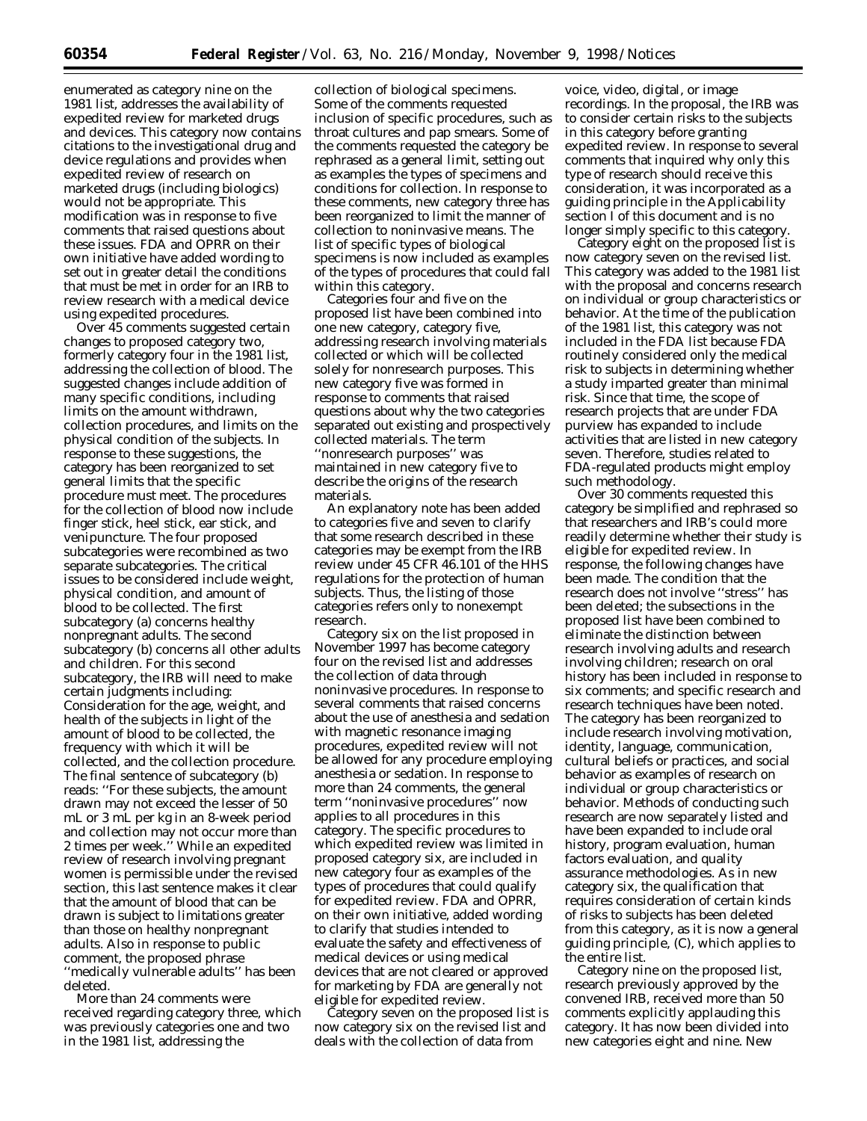enumerated as category nine on the 1981 list, addresses the availability of expedited review for marketed drugs and devices. This category now contains citations to the investigational drug and device regulations and provides when expedited review of research on marketed drugs (including biologics) would not be appropriate. This modification was in response to five comments that raised questions about these issues. FDA and OPRR on their own initiative have added wording to set out in greater detail the conditions that must be met in order for an IRB to review research with a medical device using expedited procedures.

Over 45 comments suggested certain changes to proposed category two, formerly category four in the 1981 list, addressing the collection of blood. The suggested changes include addition of many specific conditions, including limits on the amount withdrawn, collection procedures, and limits on the physical condition of the subjects. In response to these suggestions, the category has been reorganized to set general limits that the specific procedure must meet. The procedures for the collection of blood now include finger stick, heel stick, ear stick, and venipuncture. The four proposed subcategories were recombined as two separate subcategories. The critical issues to be considered include weight, physical condition, and amount of blood to be collected. The first subcategory (a) concerns healthy nonpregnant adults. The second subcategory (b) concerns all other adults and children. For this second subcategory, the IRB will need to make certain judgments including: Consideration for the age, weight, and health of the subjects in light of the amount of blood to be collected, the frequency with which it will be collected, and the collection procedure. The final sentence of subcategory (b) reads: ''For these subjects, the amount drawn may not exceed the lesser of 50 mL or 3 mL per kg in an 8-week period and collection may not occur more than 2 times per week.'' While an expedited review of research involving pregnant women is permissible under the revised section, this last sentence makes it clear that the amount of blood that can be drawn is subject to limitations greater than those on healthy nonpregnant adults. Also in response to public comment, the proposed phrase ''medically vulnerable adults'' has been deleted.

More than 24 comments were received regarding category three, which was previously categories one and two in the 1981 list, addressing the

collection of biological specimens. Some of the comments requested inclusion of specific procedures, such as throat cultures and pap smears. Some of the comments requested the category be rephrased as a general limit, setting out as examples the types of specimens and conditions for collection. In response to these comments, new category three has been reorganized to limit the manner of collection to noninvasive means. The list of specific types of biological specimens is now included as examples of the types of procedures that could fall within this category.

Categories four and five on the proposed list have been combined into one new category, category five, addressing research involving materials collected or which will be collected solely for nonresearch purposes. This new category five was formed in response to comments that raised questions about why the two categories separated out existing and prospectively collected materials. The term ''nonresearch purposes'' was maintained in new category five to describe the origins of the research materials.

An explanatory note has been added to categories five and seven to clarify that some research described in these categories may be exempt from the IRB review under 45 CFR 46.101 of the HHS regulations for the protection of human subjects. Thus, the listing of those categories refers only to nonexempt research.

Category six on the list proposed in November 1997 has become category four on the revised list and addresses the collection of data through noninvasive procedures. In response to several comments that raised concerns about the use of anesthesia and sedation with magnetic resonance imaging procedures, expedited review will not be allowed for any procedure employing anesthesia or sedation. In response to more than 24 comments, the general term ''noninvasive procedures'' now applies to all procedures in this category. The specific procedures to which expedited review was limited in proposed category six, are included in new category four as examples of the types of procedures that could qualify for expedited review. FDA and OPRR, on their own initiative, added wording to clarify that studies intended to evaluate the safety and effectiveness of medical devices or using medical devices that are not cleared or approved for marketing by FDA are generally not eligible for expedited review.

Category seven on the proposed list is now category six on the revised list and deals with the collection of data from

voice, video, digital, or image recordings. In the proposal, the IRB was to consider certain risks to the subjects in this category before granting expedited review. In response to several comments that inquired why only this type of research should receive this consideration, it was incorporated as a guiding principle in the Applicability section I of this document and is no longer simply specific to this category.

Category eight on the proposed list is now category seven on the revised list. This category was added to the 1981 list with the proposal and concerns research on individual or group characteristics or behavior. At the time of the publication of the 1981 list, this category was not included in the FDA list because FDA routinely considered only the medical risk to subjects in determining whether a study imparted greater than minimal risk. Since that time, the scope of research projects that are under FDA purview has expanded to include activities that are listed in new category seven. Therefore, studies related to FDA-regulated products might employ such methodology.

Over 30 comments requested this category be simplified and rephrased so that researchers and IRB's could more readily determine whether their study is eligible for expedited review. In response, the following changes have been made. The condition that the research does not involve ''stress'' has been deleted; the subsections in the proposed list have been combined to eliminate the distinction between research involving adults and research involving children; research on oral history has been included in response to six comments; and specific research and research techniques have been noted. The category has been reorganized to include research involving motivation, identity, language, communication, cultural beliefs or practices, and social behavior as examples of research on individual or group characteristics or behavior. Methods of conducting such research are now separately listed and have been expanded to include oral history, program evaluation, human factors evaluation, and quality assurance methodologies. As in new category six, the qualification that requires consideration of certain kinds of risks to subjects has been deleted from this category, as it is now a general guiding principle, (C), which applies to the entire list.

Category nine on the proposed list, research previously approved by the convened IRB, received more than 50 comments explicitly applauding this category. It has now been divided into new categories eight and nine. New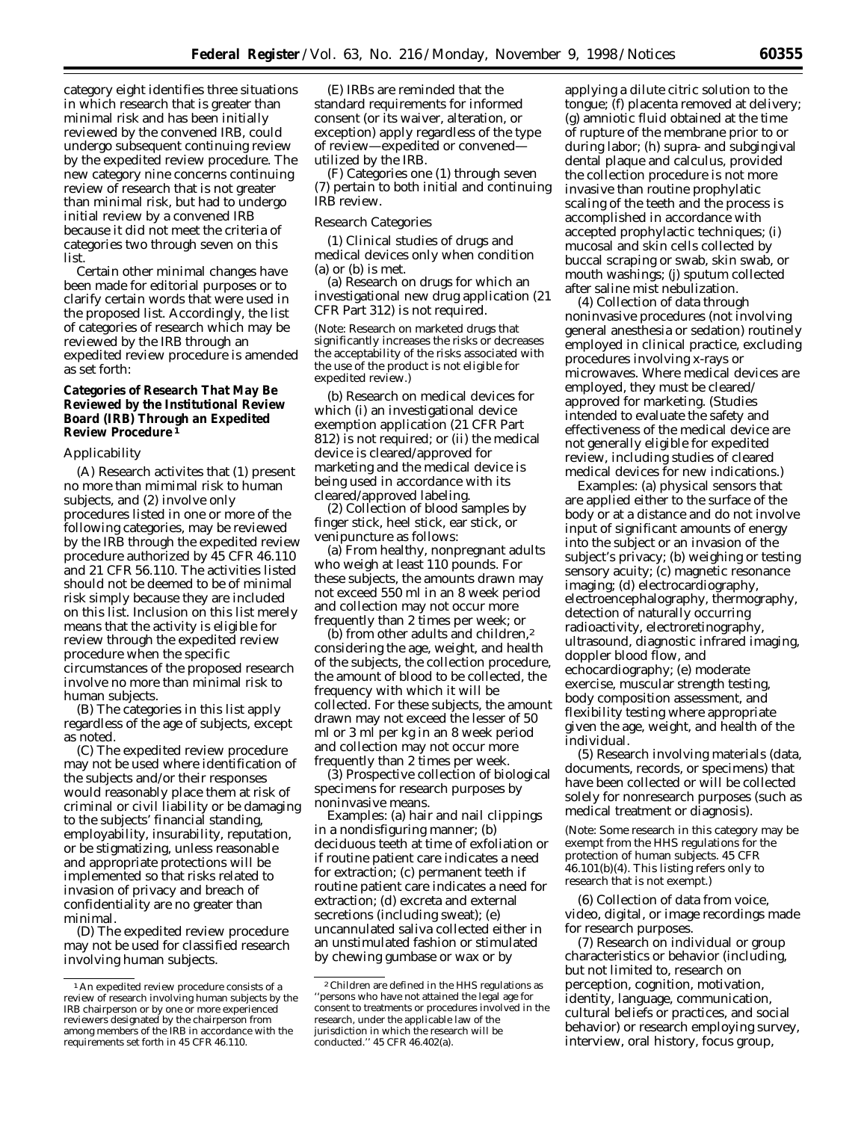category eight identifies three situations in which research that is greater than minimal risk and has been initially reviewed by the convened IRB, could undergo subsequent continuing review by the expedited review procedure. The new category nine concerns continuing review of research that is not greater than minimal risk, but had to undergo initial review by a convened IRB because it did not meet the criteria of categories two through seven on this list.

Certain other minimal changes have been made for editorial purposes or to clarify certain words that were used in the proposed list. Accordingly, the list of categories of research which may be reviewed by the IRB through an expedited review procedure is amended as set forth:

## **Categories of Research That May Be Reviewed by the Institutional Review Board (IRB) Through an Expedited Review Procedure 1**

#### *Applicability*

(A) Research activites that (1) present no more than mimimal risk to human subjects, and (2) involve only procedures listed in one or more of the following categories, may be reviewed by the IRB through the expedited review procedure authorized by 45 CFR 46.110 and 21 CFR 56.110. The activities listed should not be deemed to be of minimal risk simply because they are included on this list. Inclusion on this list merely means that the activity is eligible for review through the expedited review procedure when the specific circumstances of the proposed research involve no more than minimal risk to human subjects.

(B) The categories in this list apply regardless of the age of subjects, except as noted.

(C) The expedited review procedure may not be used where identification of the subjects and/or their responses would reasonably place them at risk of criminal or civil liability or be damaging to the subjects' financial standing, employability, insurability, reputation, or be stigmatizing, unless reasonable and appropriate protections will be implemented so that risks related to invasion of privacy and breach of confidentiality are no greater than minimal.

(D) The expedited review procedure may not be used for classified research involving human subjects.

(E) IRBs are reminded that the standard requirements for informed consent (or its waiver, alteration, or exception) apply regardless of the type of review—expedited or convened utilized by the IRB.

(F) Categories one (1) through seven (7) pertain to both initial and continuing IRB review.

## *Research Categories*

(1) Clinical studies of drugs and medical devices only when condition (a) or (b) is met.

(a) Research on drugs for which an investigational new drug application (21 CFR Part 312) is not required.

(Note: Research on marketed drugs that significantly increases the risks or decreases the acceptability of the risks associated with the use of the product is not eligible for expedited review.)

(b) Research on medical devices for which (i) an investigational device exemption application (21 CFR Part 812) is not required; or (ii) the medical device is cleared/approved for marketing and the medical device is being used in accordance with its cleared/approved labeling.

(2) Collection of blood samples by finger stick, heel stick, ear stick, or venipuncture as follows:

(a) From healthy, nonpregnant adults who weigh at least 110 pounds. For these subjects, the amounts drawn may not exceed 550 ml in an 8 week period and collection may not occur more frequently than 2 times per week; or

(b) from other adults and children,2 considering the age, weight, and health of the subjects, the collection procedure, the amount of blood to be collected, the frequency with which it will be collected. For these subjects, the amount drawn may not exceed the lesser of 50 ml or 3 ml per kg in an 8 week period and collection may not occur more frequently than 2 times per week.

(3) Prospective collection of biological specimens for research purposes by noninvasive means.

Examples: (a) hair and nail clippings in a nondisfiguring manner; (b) deciduous teeth at time of exfoliation or if routine patient care indicates a need for extraction; (c) permanent teeth if routine patient care indicates a need for extraction; (d) excreta and external secretions (including sweat); (e) uncannulated saliva collected either in an unstimulated fashion or stimulated by chewing gumbase or wax or by

applying a dilute citric solution to the tongue; (f) placenta removed at delivery; (g) amniotic fluid obtained at the time of rupture of the membrane prior to or during labor; (h) supra- and subgingival dental plaque and calculus, provided the collection procedure is not more invasive than routine prophylatic scaling of the teeth and the process is accomplished in accordance with accepted prophylactic techniques; (i) mucosal and skin cells collected by buccal scraping or swab, skin swab, or mouth washings; (j) sputum collected after saline mist nebulization.

(4) Collection of data through noninvasive procedures (not involving general anesthesia or sedation) routinely employed in clinical practice, excluding procedures involving x-rays or microwaves. Where medical devices are employed, they must be cleared/ approved for marketing. (Studies intended to evaluate the safety and effectiveness of the medical device are not generally eligible for expedited review, including studies of cleared medical devices for new indications.)

Examples: (a) physical sensors that are applied either to the surface of the body or at a distance and do not involve input of significant amounts of energy into the subject or an invasion of the subject's privacy; (b) weighing or testing sensory acuity; (c) magnetic resonance imaging; (d) electrocardiography, electroencephalography, thermography, detection of naturally occurring radioactivity, electroretinography, ultrasound, diagnostic infrared imaging, doppler blood flow, and echocardiography; (e) moderate exercise, muscular strength testing, body composition assessment, and flexibility testing where appropriate given the age, weight, and health of the individual.

(5) Research involving materials (data, documents, records, or specimens) that have been collected or will be collected solely for nonresearch purposes (such as medical treatment or diagnosis).

(Note: Some research in this category may be exempt from the HHS regulations for the protection of human subjects. *45 CFR 46.101(b)(4).* This listing refers only to research that is not exempt.)

(6) Collection of data from voice, video, digital, or image recordings made for research purposes.

(7) Research on individual or group characteristics or behavior (including, but not limited to, research on perception, cognition, motivation, identity, language, communication, cultural beliefs or practices, and social behavior) or research employing survey, interview, oral history, focus group,

<sup>1</sup>An expedited review procedure consists of a review of research involving human subjects by the IRB chairperson or by one or more experienced reviewers designated by the chairperson from among members of the IRB in accordance with the requirements set forth in 45 CFR 46.110.

<sup>2</sup>Children are defined in the HHS regulations as ''persons who have not attained the legal age for consent to treatments or procedures involved in the research, under the applicable law of the jurisdiction in which the research will be conducted.'' 45 CFR 46.402(a).